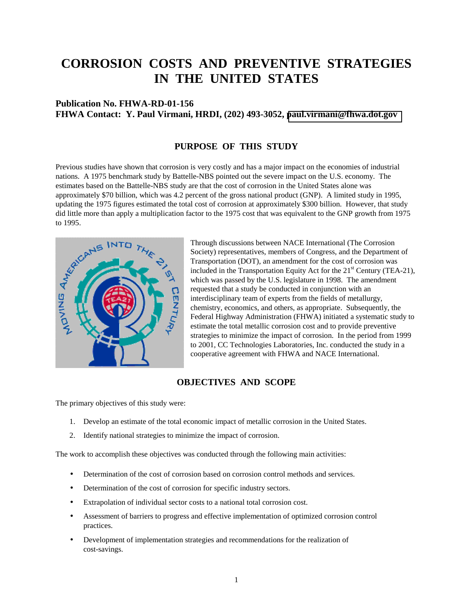# **CORROSION COSTS AND PREVENTIVE STRATEGIES IN THE UNITED STATES**

# **Publication No. FHWA-RD-01-156 FHWA Contact: Y. Paul Virmani, HRDI, (202) 493-3052, [paul.virmani@fhwa.dot.gov](mailto:paul.virmani@fhwa.dot.gov)**

### **PURPOSE OF THIS STUDY**

Previous studies have shown that corrosion is very costly and has a major impact on the economies of industrial nations. A 1975 benchmark study by Battelle-NBS pointed out the severe impact on the U.S. economy. The estimates based on the Battelle-NBS study are that the cost of corrosion in the United States alone was approximately \$70 billion, which was 4.2 percent of the gross national product (GNP). A limited study in 1995, updating the 1975 figures estimated the total cost of corrosion at approximately \$300 billion. However, that study did little more than apply a multiplication factor to the 1975 cost that was equivalent to the GNP growth from 1975



Through discussions between NACE International (The Corrosion Society) representatives, members of Congress, and the Department of Transportation (DOT), an amendment for the cost of corrosion was included in the Transportation Equity Act for the  $21<sup>st</sup>$  Century (TEA-21), which was passed by the U.S. legislature in 1998. The amendment requested that a study be conducted in conjunction with an interdisciplinary team of experts from the fields of metallurgy, chemistry, economics, and others, as appropriate. Subsequently, the Federal Highway Administration (FHWA) initiated a systematic study to estimate the total metallic corrosion cost and to provide preventive strategies to minimize the impact of corrosion. In the period from 1999 to 2001, CC Technologies Laboratories, Inc. conducted the study in a cooperative agreement with FHWA and NACE International.

#### **OBJECTIVES AND SCOPE**

The primary objectives of this study were:

- 1. Develop an estimate of the total economic impact of metallic corrosion in the United States.
- 2. Identify national strategies to minimize the impact of corrosion.

The work to accomplish these objectives was conducted through the following main activities:

- Determination of the cost of corrosion based on corrosion control methods and services.
- Determination of the cost of corrosion for specific industry sectors.
- Extrapolation of individual sector costs to a national total corrosion cost.
- Assessment of barriers to progress and effective implementation of optimized corrosion control practices.
- Development of implementation strategies and recommendations for the realization of cost-savings.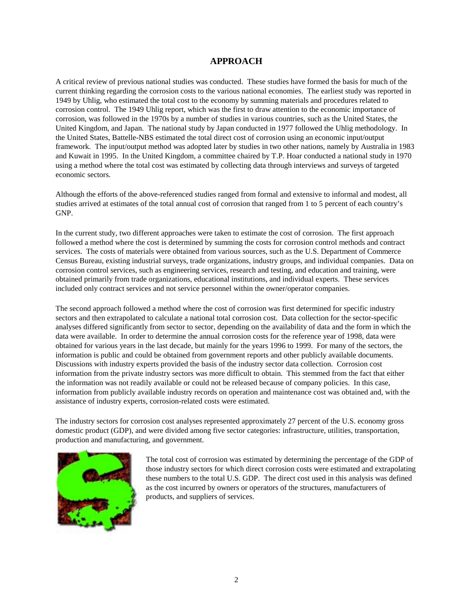#### **APPROACH**

A critical review of previous national studies was conducted. These studies have formed the basis for much of the current thinking regarding the corrosion costs to the various national economies. The earliest study was reported in 1949 by Uhlig, who estimated the total cost to the economy by summing materials and procedures related to corrosion control. The 1949 Uhlig report, which was the first to draw attention to the economic importance of corrosion, was followed in the 1970s by a number of studies in various countries, such as the United States, the United Kingdom, and Japan. The national study by Japan conducted in 1977 followed the Uhlig methodology. In the United States, Battelle-NBS estimated the total direct cost of corrosion using an economic input/output framework. The input/output method was adopted later by studies in two other nations, namely by Australia in 1983 and Kuwait in 1995. In the United Kingdom, a committee chaired by T.P. Hoar conducted a national study in 1970 using a method where the total cost was estimated by collecting data through interviews and surveys of targeted economic sectors.

Although the efforts of the above-referenced studies ranged from formal and extensive to informal and modest, all studies arrived at estimates of the total annual cost of corrosion that ranged from 1 to 5 percent of each country's GNP.

In the current study, two different approaches were taken to estimate the cost of corrosion. The first approach followed a method where the cost is determined by summing the costs for corrosion control methods and contract services. The costs of materials were obtained from various sources, such as the U.S. Department of Commerce Census Bureau, existing industrial surveys, trade organizations, industry groups, and individual companies. Data on corrosion control services, such as engineering services, research and testing, and education and training, were obtained primarily from trade organizations, educational institutions, and individual experts. These services included only contract services and not service personnel within the owner/operator companies.

The second approach followed a method where the cost of corrosion was first determined for specific industry sectors and then extrapolated to calculate a national total corrosion cost. Data collection for the sector-specific analyses differed significantly from sector to sector, depending on the availability of data and the form in which the data were available. In order to determine the annual corrosion costs for the reference year of 1998, data were obtained for various years in the last decade, but mainly for the years 1996 to 1999. For many of the sectors, the information is public and could be obtained from government reports and other publicly available documents. Discussions with industry experts provided the basis of the industry sector data collection. Corrosion cost information from the private industry sectors was more difficult to obtain. This stemmed from the fact that either the information was not readily available or could not be released because of company policies. In this case, information from publicly available industry records on operation and maintenance cost was obtained and, with the assistance of industry experts, corrosion-related costs were estimated.

The industry sectors for corrosion cost analyses represented approximately 27 percent of the U.S. economy gross domestic product (GDP), and were divided among five sector categories: infrastructure, utilities, transportation, production and manufacturing, and government.



The total cost of corrosion was estimated by determining the percentage of the GDP of those industry sectors for which direct corrosion costs were estimated and extrapolating these numbers to the total U.S. GDP. The direct cost used in this analysis was defined as the cost incurred by owners or operators of the structures, manufacturers of products, and suppliers of services.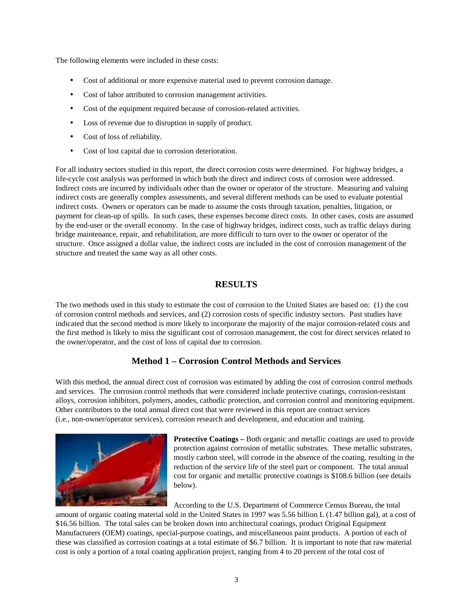The following elements were included in these costs:

- Cost of additional or more expensive material used to prevent corrosion damage.
- Cost of labor attributed to corrosion management activities.
- Cost of the equipment required because of corrosion-related activities.
- Loss of revenue due to disruption in supply of product.
- Cost of loss of reliability.
- Cost of lost capital due to corrosion deterioration.

For all industry sectors studied in this report, the direct corrosion costs were determined. For highway bridges, a life-cycle cost analysis was performed in which both the direct and indirect costs of corrosion were addressed. Indirect costs are incurred by individuals other than the owner or operator of the structure. Measuring and valuing indirect costs are generally complex assessments, and several different methods can be used to evaluate potential indirect costs. Owners or operators can be made to assume the costs through taxation, penalties, litigation, or payment for clean-up of spills. In such cases, these expenses become direct costs. In other cases, costs are assumed by the end-user or the overall economy. In the case of highway bridges, indirect costs, such as traffic delays during bridge maintenance, repair, and rehabilitation, are more difficult to turn over to the owner or operator of the structure. Once assigned a dollar value, the indirect costs are included in the cost of corrosion management of the structure and treated the same way as all other costs.

## **RESULTS**

The two methods used in this study to estimate the cost of corrosion to the United States are based on: (1) the cost of corrosion control methods and services, and (2) corrosion costs of specific industry sectors. Past studies have indicated that the second method is more likely to incorporate the majority of the major corrosion-related costs and the first method is likely to miss the significant cost of corrosion management, the cost for direct services related to the owner/operator, and the cost of loss of capital due to corrosion.

# **Method 1 – Corrosion Control Methods and Services**

With this method, the annual direct cost of corrosion was estimated by adding the cost of corrosion control methods and services. The corrosion control methods that were considered include protective coatings, corrosion-resistant alloys, corrosion inhibitors, polymers, anodes, cathodic protection, and corrosion control and monitoring equipment. Other contributors to the total annual direct cost that were reviewed in this report are contract services (i.e., non-owner/operator services), corrosion research and development, and education and training.



**Protective Coatings –** Both organic and metallic coatings are used to provide protection against corrosion of metallic substrates. These metallic substrates, mostly carbon steel, will corrode in the absence of the coating, resulting in the reduction of the service life of the steel part or component. The total annual cost for organic and metallic protective coatings is \$108.6 billion (see details below).

According to the U.S. Department of Commerce Census Bureau, the total

amount of organic coating material sold in the United States in 1997 was 5.56 billion L (1.47 billion gal), at a cost of \$16.56 billion. The total sales can be broken down into architectural coatings, product Original Equipment Manufacturers (OEM) coatings, special-purpose coatings, and miscellaneous paint products. A portion of each of these was classified as corrosion coatings at a total estimate of \$6.7 billion. It is important to note that raw material cost is only a portion of a total coating application project, ranging from 4 to 20 percent of the total cost of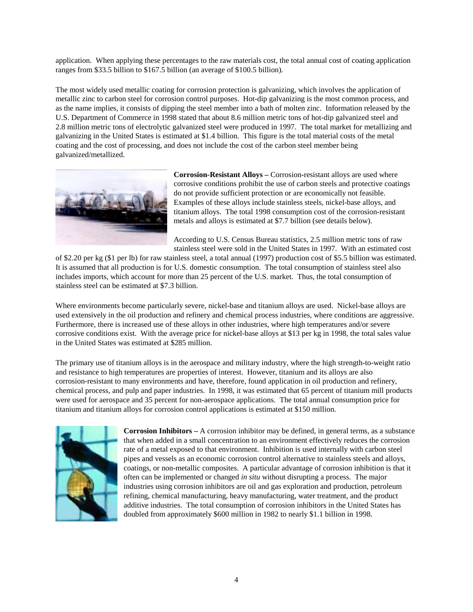application. When applying these percentages to the raw materials cost, the total annual cost of coating application ranges from \$33.5 billion to \$167.5 billion (an average of \$100.5 billion).

The most widely used metallic coating for corrosion protection is galvanizing, which involves the application of metallic zinc to carbon steel for corrosion control purposes. Hot-dip galvanizing is the most common process, and as the name implies, it consists of dipping the steel member into a bath of molten zinc. Information released by the U.S. Department of Commerce in 1998 stated that about 8.6 million metric tons of hot-dip galvanized steel and 2.8 million metric tons of electrolytic galvanized steel were produced in 1997. The total market for metallizing and galvanizing in the United States is estimated at \$1.4 billion. This figure is the total material costs of the metal coating and the cost of processing, and does not include the cost of the carbon steel member being galvanized/metallized.



**Corrosion-Resistant Alloys –** Corrosion**-**resistant alloys are used where corrosive conditions prohibit the use of carbon steels and protective coatings do not provide sufficient protection or are economically not feasible. Examples of these alloys include stainless steels, nickel-base alloys, and titanium alloys. The total 1998 consumption cost of the corrosion-resistant metals and alloys is estimated at \$7.7 billion (see details below).

According to U.S. Census Bureau statistics, 2.5 million metric tons of raw stainless steel were sold in the United States in 1997. With an estimated cost

of \$2.20 per kg (\$1 per lb) for raw stainless steel, a total annual (1997) production cost of \$5.5 billion was estimated. It is assumed that all production is for U.S. domestic consumption. The total consumption of stainless steel also includes imports, which account for more than 25 percent of the U.S. market. Thus, the total consumption of stainless steel can be estimated at \$7.3 billion.

Where environments become particularly severe, nickel-base and titanium alloys are used. Nickel-base alloys are used extensively in the oil production and refinery and chemical process industries, where conditions are aggressive. Furthermore, there is increased use of these alloys in other industries, where high temperatures and/or severe corrosive conditions exist. With the average price for nickel-base alloys at \$13 per kg in 1998, the total sales value in the United States was estimated at \$285 million.

The primary use of titanium alloys is in the aerospace and military industry, where the high strength-to-weight ratio and resistance to high temperatures are properties of interest. However, titanium and its alloys are also corrosion-resistant to many environments and have, therefore, found application in oil production and refinery, chemical process, and pulp and paper industries. In 1998, it was estimated that 65 percent of titanium mill products were used for aerospace and 35 percent for non-aerospace applications. The total annual consumption price for titanium and titanium alloys for corrosion control applications is estimated at \$150 million.



**Corrosion Inhibitors –** A corrosion inhibitor may be defined, in general terms, as a substance that when added in a small concentration to an environment effectively reduces the corrosion rate of a metal exposed to that environment. Inhibition is used internally with carbon steel pipes and vessels as an economic corrosion control alternative to stainless steels and alloys, coatings, or non-metallic composites. A particular advantage of corrosion inhibition is that it often can be implemented or changed *in situ* without disrupting a process. The major industries using corrosion inhibitors are oil and gas exploration and production, petroleum refining, chemical manufacturing, heavy manufacturing, water treatment, and the product additive industries. The total consumption of corrosion inhibitors in the United States has doubled from approximately \$600 million in 1982 to nearly \$1.1 billion in 1998.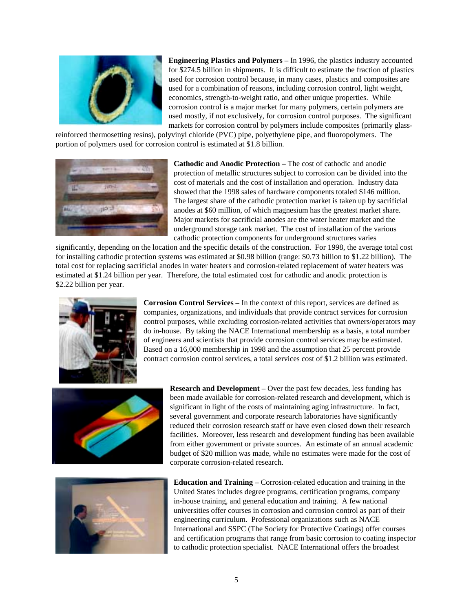

**Engineering Plastics and Polymers –** In 1996, the plastics industry accounted for \$274.5 billion in shipments. It is difficult to estimate the fraction of plastics used for corrosion control because, in many cases, plastics and composites are used for a combination of reasons, including corrosion control, light weight, economics, strength-to-weight ratio, and other unique properties. While corrosion control is a major market for many polymers, certain polymers are used mostly, if not exclusively, for corrosion control purposes. The significant markets for corrosion control by polymers include composites (primarily glass-

reinforced thermosetting resins), polyvinyl chloride (PVC) pipe, polyethylene pipe, and fluoropolymers. The portion of polymers used for corrosion control is estimated at \$1.8 billion.



**Cathodic and Anodic Protection –** The cost of cathodic and anodic protection of metallic structures subject to corrosion can be divided into the cost of materials and the cost of installation and operation. Industry data showed that the 1998 sales of hardware components totaled \$146 million. The largest share of the cathodic protection market is taken up by sacrificial anodes at \$60 million, of which magnesium has the greatest market share. Major markets for sacrificial anodes are the water heater market and the underground storage tank market. The cost of installation of the various cathodic protection components for underground structures varies

significantly, depending on the location and the specific details of the construction. For 1998, the average total cost for installing cathodic protection systems was estimated at \$0.98 billion (range: \$0.73 billion to \$1.22 billion). The total cost for replacing sacrificial anodes in water heaters and corrosion-related replacement of water heaters was estimated at \$1.24 billion per year. Therefore, the total estimated cost for cathodic and anodic protection is \$2.22 billion per year.



**Corrosion Control Services –** In the context of this report, services are defined as companies, organizations, and individuals that provide contract services for corrosion control purposes, while excluding corrosion-related activities that owners/operators may do in-house. By taking the NACE International membership as a basis, a total number of engineers and scientists that provide corrosion control services may be estimated. Based on a 16,000 membership in 1998 and the assumption that 25 percent provide contract corrosion control services, a total services cost of \$1.2 billion was estimated.



**Research and Development –** Over the past few decades, less funding has been made available for corrosion-related research and development, which is significant in light of the costs of maintaining aging infrastructure. In fact, several government and corporate research laboratories have significantly reduced their corrosion research staff or have even closed down their research facilities. Moreover, less research and development funding has been available from either government or private sources. An estimate of an annual academic budget of \$20 million was made, while no estimates were made for the cost of corporate corrosion-related research.



**Education and Training –** Corrosion-related education and training in the United States includes degree programs, certification programs, company in-house training, and general education and training. A few national universities offer courses in corrosion and corrosion control as part of their engineering curriculum. Professional organizations such as NACE International and SSPC (The Society for Protective Coatings) offer courses and certification programs that range from basic corrosion to coating inspector to cathodic protection specialist. NACE International offers the broadest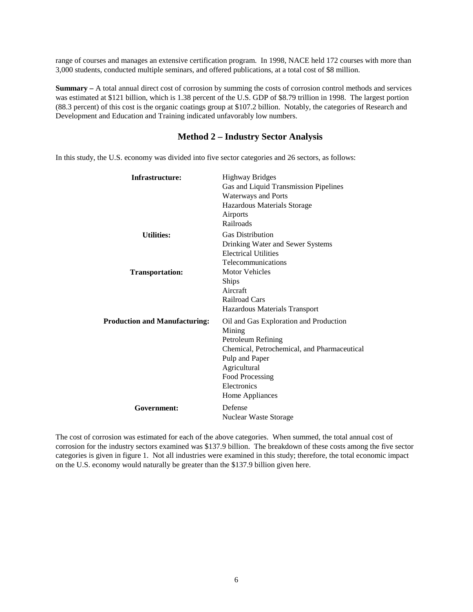range of courses and manages an extensive certification program. In 1998, NACE held 172 courses with more than 3,000 students, conducted multiple seminars, and offered publications, at a total cost of \$8 million.

**Summary –** A total annual direct cost of corrosion by summing the costs of corrosion control methods and services was estimated at \$121 billion, which is 1.38 percent of the U.S. GDP of \$8.79 trillion in 1998. The largest portion (88.3 percent) of this cost is the organic coatings group at \$107.2 billion. Notably, the categories of Research and Development and Education and Training indicated unfavorably low numbers.

#### **Method 2 – Industry Sector Analysis**

In this study, the U.S. economy was divided into five sector categories and 26 sectors, as follows:

| Infrastructure:                      | <b>Highway Bridges</b><br>Gas and Liquid Transmission Pipelines<br>Waterways and Ports<br>Hazardous Materials Storage<br>Airports<br>Railroads                                                               |
|--------------------------------------|--------------------------------------------------------------------------------------------------------------------------------------------------------------------------------------------------------------|
| <b>Utilities:</b>                    | <b>Gas Distribution</b><br>Drinking Water and Sewer Systems<br><b>Electrical Utilities</b><br>Telecommunications                                                                                             |
| <b>Transportation:</b>               | <b>Motor Vehicles</b><br><b>Ships</b><br>Aircraft<br>Railroad Cars<br>Hazardous Materials Transport                                                                                                          |
| <b>Production and Manufacturing:</b> | Oil and Gas Exploration and Production<br>Mining<br>Petroleum Refining<br>Chemical, Petrochemical, and Pharmaceutical<br>Pulp and Paper<br>Agricultural<br>Food Processing<br>Electronics<br>Home Appliances |
| Government:                          | Defense<br>Nuclear Waste Storage                                                                                                                                                                             |

The cost of corrosion was estimated for each of the above categories. When summed, the total annual cost of corrosion for the industry sectors examined was \$137.9 billion. The breakdown of these costs among the five sector categories is given in figure 1. Not all industries were examined in this study; therefore, the total economic impact on the U.S. economy would naturally be greater than the \$137.9 billion given here.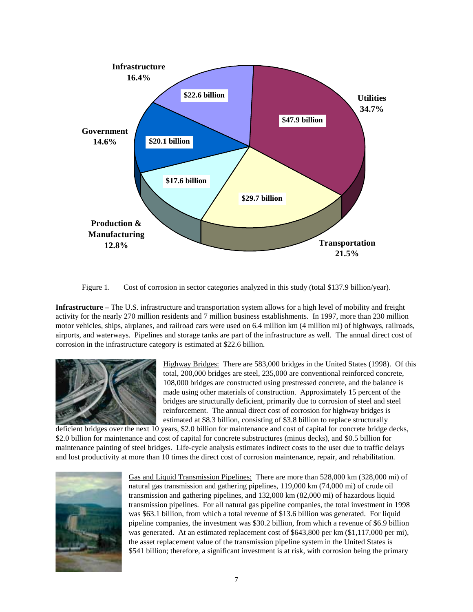

Figure 1. Cost of corrosion in sector categories analyzed in this study (total \$137.9 billion/year).

**Infrastructure –** The U.S. infrastructure and transportation system allows for a high level of mobility and freight activity for the nearly 270 million residents and 7 million business establishments. In 1997, more than 230 million motor vehicles, ships, airplanes, and railroad cars were used on 6.4 million km (4 million mi) of highways, railroads, airports, and waterways. Pipelines and storage tanks are part of the infrastructure as well. The annual direct cost of corrosion in the infrastructure category is estimated at \$22.6 billion.



Highway Bridges: There are 583,000 bridges in the United States (1998). Of this total, 200,000 bridges are steel, 235,000 are conventional reinforced concrete, 108,000 bridges are constructed using prestressed concrete, and the balance is made using other materials of construction. Approximately 15 percent of the bridges are structurally deficient, primarily due to corrosion of steel and steel reinforcement. The annual direct cost of corrosion for highway bridges is estimated at \$8.3 billion, consisting of \$3.8 billion to replace structurally

deficient bridges over the next 10 years, \$2.0 billion for maintenance and cost of capital for concrete bridge decks, \$2.0 billion for maintenance and cost of capital for concrete substructures (minus decks), and \$0.5 billion for maintenance painting of steel bridges. Life-cycle analysis estimates indirect costs to the user due to traffic delays and lost productivity at more than 10 times the direct cost of corrosion maintenance, repair, and rehabilitation.



Gas and Liquid Transmission Pipelines: There are more than 528,000 km (328,000 mi) of natural gas transmission and gathering pipelines, 119,000 km (74,000 mi) of crude oil transmission and gathering pipelines, and 132,000 km (82,000 mi) of hazardous liquid transmission pipelines. For all natural gas pipeline companies, the total investment in 1998 was \$63.1 billion, from which a total revenue of \$13.6 billion was generated. For liquid pipeline companies, the investment was \$30.2 billion, from which a revenue of \$6.9 billion was generated. At an estimated replacement cost of \$643,800 per km (\$1,117,000 per mi), the asset replacement value of the transmission pipeline system in the United States is \$541 billion; therefore, a significant investment is at risk, with corrosion being the primary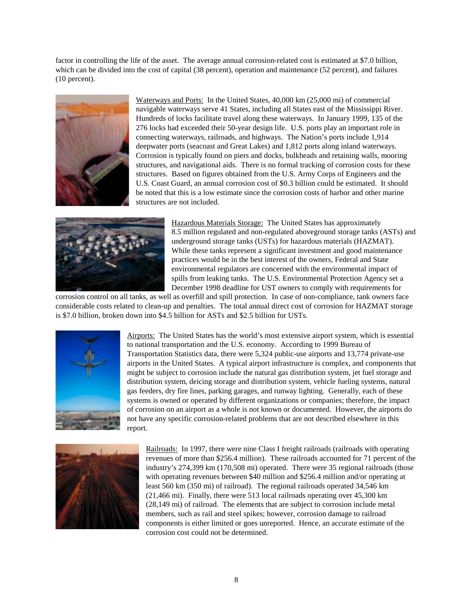factor in controlling the life of the asset. The average annual corrosion-related cost is estimated at \$7.0 billion, which can be divided into the cost of capital (38 percent), operation and maintenance (52 percent), and failures (10 percent).



Waterways and Ports: In the United States, 40,000 km (25,000 mi) of commercial navigable waterways serve 41 States, including all States east of the Mississippi River. Hundreds of locks facilitate travel along these waterways. In January 1999, 135 of the 276 locks had exceeded their 50-year design life. U.S. ports play an important role in connecting waterways, railroads, and highways. The Nation's ports include 1,914 deepwater ports (seacoast and Great Lakes) and 1,812 ports along inland waterways. Corrosion is typically found on piers and docks, bulkheads and retaining walls, mooring structures, and navigational aids. There is no formal tracking of corrosion costs for these structures. Based on figures obtained from the U.S. Army Corps of Engineers and the U.S. Coast Guard, an annual corrosion cost of \$0.3 billion could be estimated. It should be noted that this is a low estimate since the corrosion costs of harbor and other marine structures are not included.



Hazardous Materials Storage: The United States has approximately 8.5 million regulated and non-regulated aboveground storage tanks (ASTs) and underground storage tanks (USTs) for hazardous materials (HAZMAT). While these tanks represent a significant investment and good maintenance practices would be in the best interest of the owners, Federal and State environmental regulators are concerned with the environmental impact of spills from leaking tanks. The U.S. Environmental Protection Agency set a December 1998 deadline for UST owners to comply with requirements for

corrosion control on all tanks, as well as overfill and spill protection. In case of non-compliance, tank owners face considerable costs related to clean-up and penalties. The total annual direct cost of corrosion for HAZMAT storage is \$7.0 billion, broken down into \$4.5 billion for ASTs and \$2.5 billion for USTs.



Airports: The United States has the world's most extensive airport system, which is essential to national transportation and the U.S. economy. According to 1999 Bureau of Transportation Statistics data, there were 5,324 public-use airports and 13,774 private-use airports in the United States. A typical airport infrastructure is complex, and components that might be subject to corrosion include the natural gas distribution system, jet fuel storage and distribution system, deicing storage and distribution system, vehicle fueling systems, natural gas feeders, dry fire lines, parking garages, and runway lighting. Generally, each of these systems is owned or operated by different organizations or companies; therefore, the impact of corrosion on an airport as a whole is not known or documented. However, the airports do not have any specific corrosion-related problems that are not described elsewhere in this report.



Railroads: In 1997, there were nine Class I freight railroads (railroads with operating revenues of more than \$256.4 million). These railroads accounted for 71 percent of the industry's 274,399 km (170,508 mi) operated. There were 35 regional railroads (those with operating revenues between \$40 million and \$256.4 million and/or operating at least 560 km (350 mi) of railroad). The regional railroads operated 34,546 km (21,466 mi). Finally, there were 513 local railroads operating over 45,300 km (28,149 mi) of railroad. The elements that are subject to corrosion include metal members, such as rail and steel spikes; however, corrosion damage to railroad components is either limited or goes unreported. Hence, an accurate estimate of the corrosion cost could not be determined.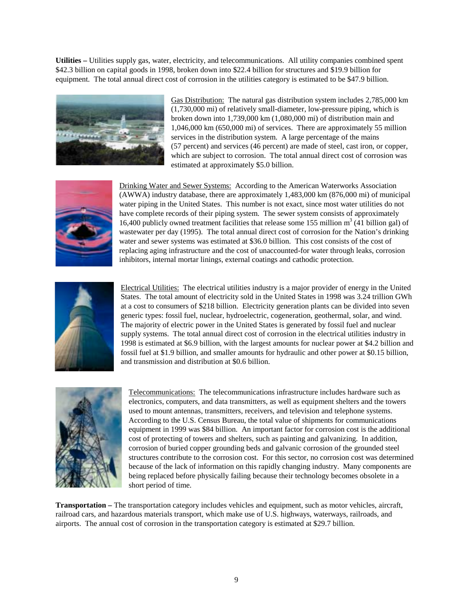**Utilities –** Utilities supply gas, water, electricity, and telecommunications. All utility companies combined spent \$42.3 billion on capital goods in 1998, broken down into \$22.4 billion for structures and \$19.9 billion for equipment. The total annual direct cost of corrosion in the utilities category is estimated to be \$47.9 billion.



Gas Distribution: The natural gas distribution system includes 2,785,000 km (1,730,000 mi) of relatively small-diameter, low-pressure piping, which is broken down into 1,739,000 km (1,080,000 mi) of distribution main and 1,046,000 km (650,000 mi) of services. There are approximately 55 million services in the distribution system. A large percentage of the mains (57 percent) and services (46 percent) are made of steel, cast iron, or copper, which are subject to corrosion. The total annual direct cost of corrosion was estimated at approximately \$5.0 billion.



Drinking Water and Sewer Systems: According to the American Waterworks Association (AWWA) industry database, there are approximately 1,483,000 km (876,000 mi) of municipal water piping in the United States. This number is not exact, since most water utilities do not have complete records of their piping system. The sewer system consists of approximately 16,400 publicly owned treatment facilities that release some 155 million  $m<sup>3</sup>$  (41 billion gal) of wastewater per day (1995). The total annual direct cost of corrosion for the Nation's drinking water and sewer systems was estimated at \$36.0 billion. This cost consists of the cost of replacing aging infrastructure and the cost of unaccounted-for water through leaks, corrosion inhibitors, internal mortar linings, external coatings and cathodic protection.



Electrical Utilities: The electrical utilities industry is a major provider of energy in the United States. The total amount of electricity sold in the United States in 1998 was 3.24 trillion GWh at a cost to consumers of \$218 billion. Electricity generation plants can be divided into seven generic types: fossil fuel, nuclear, hydroelectric, cogeneration, geothermal, solar, and wind. The majority of electric power in the United States is generated by fossil fuel and nuclear supply systems. The total annual direct cost of corrosion in the electrical utilities industry in 1998 is estimated at \$6.9 billion, with the largest amounts for nuclear power at \$4.2 billion and fossil fuel at \$1.9 billion, and smaller amounts for hydraulic and other power at \$0.15 billion, and transmission and distribution at \$0.6 billion.



Telecommunications: The telecommunications infrastructure includes hardware such as electronics, computers, and data transmitters, as well as equipment shelters and the towers used to mount antennas, transmitters, receivers, and television and telephone systems. According to the U.S. Census Bureau, the total value of shipments for communications equipment in 1999 was \$84 billion. An important factor for corrosion cost is the additional cost of protecting of towers and shelters, such as painting and galvanizing. In addition, corrosion of buried copper grounding beds and galvanic corrosion of the grounded steel structures contribute to the corrosion cost. For this sector, no corrosion cost was determined because of the lack of information on this rapidly changing industry. Many components are being replaced before physically failing because their technology becomes obsolete in a short period of time.

**Transportation –** The transportation category includes vehicles and equipment, such as motor vehicles, aircraft, railroad cars, and hazardous materials transport, which make use of U.S. highways, waterways, railroads, and airports. The annual cost of corrosion in the transportation category is estimated at \$29.7 billion.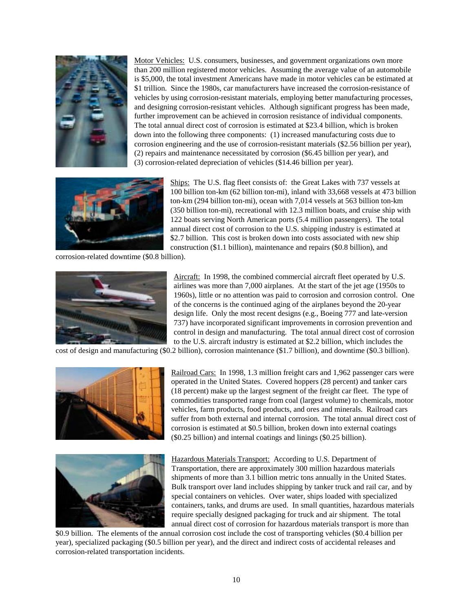

Motor Vehicles: U.S. consumers, businesses, and government organizations own more than 200 million registered motor vehicles. Assuming the average value of an automobile is \$5,000, the total investment Americans have made in motor vehicles can be estimated at \$1 trillion. Since the 1980s, car manufacturers have increased the corrosion-resistance of vehicles by using corrosion-resistant materials, employing better manufacturing processes, and designing corrosion-resistant vehicles. Although significant progress has been made, further improvement can be achieved in corrosion resistance of individual components. The total annual direct cost of corrosion is estimated at \$23.4 billion, which is broken down into the following three components: (1) increased manufacturing costs due to corrosion engineering and the use of corrosion-resistant materials (\$2.56 billion per year), (2) repairs and maintenance necessitated by corrosion (\$6.45 billion per year), and (3) corrosion-related depreciation of vehicles (\$14.46 billion per year).



Ships: The U.S. flag fleet consists of: the Great Lakes with 737 vessels at 100 billion ton-km (62 billion ton-mi), inland with 33,668 vessels at 473 billion ton-km (294 billion ton-mi), ocean with 7,014 vessels at 563 billion ton-km (350 billion ton-mi), recreational with 12.3 million boats, and cruise ship with 122 boats serving North American ports (5.4 million passengers). The total annual direct cost of corrosion to the U.S. shipping industry is estimated at \$2.7 billion. This cost is broken down into costs associated with new ship construction (\$1.1 billion), maintenance and repairs (\$0.8 billion), and

corrosion-related downtime (\$0.8 billion).



Aircraft: In 1998, the combined commercial aircraft fleet operated by U.S. airlines was more than 7,000 airplanes. At the start of the jet age (1950s to 1960s), little or no attention was paid to corrosion and corrosion control. One of the concerns is the continued aging of the airplanes beyond the 20-year design life. Only the most recent designs (e.g., Boeing 777 and late-version 737) have incorporated significant improvements in corrosion prevention and control in design and manufacturing. The total annual direct cost of corrosion to the U.S. aircraft industry is estimated at \$2.2 billion, which includes the

cost of design and manufacturing (\$0.2 billion), corrosion maintenance (\$1.7 billion), and downtime (\$0.3 billion).



Railroad Cars: In 1998, 1.3 million freight cars and 1,962 passenger cars were operated in the United States. Covered hoppers (28 percent) and tanker cars (18 percent) make up the largest segment of the freight car fleet. The type of commodities transported range from coal (largest volume) to chemicals, motor vehicles, farm products, food products, and ores and minerals. Railroad cars suffer from both external and internal corrosion. The total annual direct cost of corrosion is estimated at \$0.5 billion, broken down into external coatings (\$0.25 billion) and internal coatings and linings (\$0.25 billion).



Hazardous Materials Transport: According to U.S. Department of Transportation, there are approximately 300 million hazardous materials shipments of more than 3.1 billion metric tons annually in the United States. Bulk transport over land includes shipping by tanker truck and rail car, and by special containers on vehicles. Over water, ships loaded with specialized containers, tanks, and drums are used. In small quantities, hazardous materials require specially designed packaging for truck and air shipment. The total annual direct cost of corrosion for hazardous materials transport is more than

\$0.9 billion. The elements of the annual corrosion cost include the cost of transporting vehicles (\$0.4 billion per year), specialized packaging (\$0.5 billion per year), and the direct and indirect costs of accidental releases and corrosion-related transportation incidents.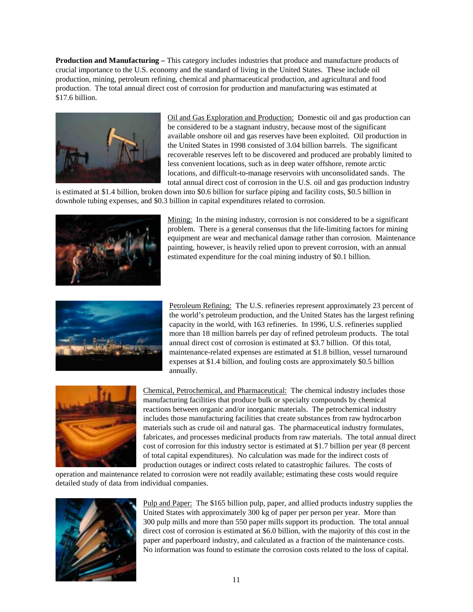**Production and Manufacturing –** This category includes industries that produce and manufacture products of crucial importance to the U.S. economy and the standard of living in the United States. These include oil production, mining, petroleum refining, chemical and pharmaceutical production, and agricultural and food production. The total annual direct cost of corrosion for production and manufacturing was estimated at \$17.6 billion.



Oil and Gas Exploration and Production: Domestic oil and gas production can be considered to be a stagnant industry, because most of the significant available onshore oil and gas reserves have been exploited. Oil production in the United States in 1998 consisted of 3.04 billion barrels. The significant recoverable reserves left to be discovered and produced are probably limited to less convenient locations, such as in deep water offshore, remote arctic locations, and difficult-to-manage reservoirs with unconsolidated sands. The total annual direct cost of corrosion in the U.S. oil and gas production industry

is estimated at \$1.4 billion, broken down into \$0.6 billion for surface piping and facility costs, \$0.5 billion in downhole tubing expenses, and \$0.3 billion in capital expenditures related to corrosion.



Mining: In the mining industry, corrosion is not considered to be a significant problem. There is a general consensus that the life-limiting factors for mining equipment are wear and mechanical damage rather than corrosion. Maintenance painting, however, is heavily relied upon to prevent corrosion, with an annual estimated expenditure for the coal mining industry of \$0.1 billion.



Petroleum Refining: The U.S. refineries represent approximately 23 percent of the world's petroleum production, and the United States has the largest refining capacity in the world, with 163 refineries. In 1996, U.S. refineries supplied more than 18 million barrels per day of refined petroleum products. The total annual direct cost of corrosion is estimated at \$3.7 billion. Of this total, maintenance-related expenses are estimated at \$1.8 billion, vessel turnaround expenses at \$1.4 billion, and fouling costs are approximately \$0.5 billion annually.



Chemical, Petrochemical, and Pharmaceutical: The chemical industry includes those manufacturing facilities that produce bulk or specialty compounds by chemical reactions between organic and/or inorganic materials. The petrochemical industry includes those manufacturing facilities that create substances from raw hydrocarbon materials such as crude oil and natural gas. The pharmaceutical industry formulates, fabricates, and processes medicinal products from raw materials. The total annual direct cost of corrosion for this industry sector is estimated at \$1.7 billion per year (8 percent of total capital expenditures). No calculation was made for the indirect costs of production outages or indirect costs related to catastrophic failures. The costs of

operation and maintenance related to corrosion were not readily available; estimating these costs would require detailed study of data from individual companies.



Pulp and Paper: The \$165 billion pulp, paper, and allied products industry supplies the United States with approximately 300 kg of paper per person per year. More than 300 pulp mills and more than 550 paper mills support its production. The total annual direct cost of corrosion is estimated at \$6.0 billion, with the majority of this cost in the paper and paperboard industry, and calculated as a fraction of the maintenance costs. No information was found to estimate the corrosion costs related to the loss of capital.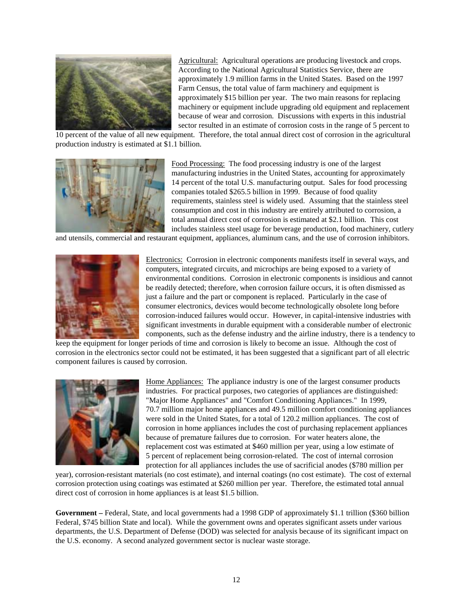

Agricultural: Agricultural operations are producing livestock and crops. According to the National Agricultural Statistics Service, there are approximately 1.9 million farms in the United States. Based on the 1997 Farm Census, the total value of farm machinery and equipment is approximately \$15 billion per year. The two main reasons for replacing machinery or equipment include upgrading old equipment and replacement because of wear and corrosion. Discussions with experts in this industrial sector resulted in an estimate of corrosion costs in the range of 5 percent to

10 percent of the value of all new equipment. Therefore, the total annual direct cost of corrosion in the agricultural production industry is estimated at \$1.1 billion.



Food Processing: The food processing industry is one of the largest manufacturing industries in the United States, accounting for approximately 14 percent of the total U.S. manufacturing output. Sales for food processing companies totaled \$265.5 billion in 1999. Because of food quality requirements, stainless steel is widely used. Assuming that the stainless steel consumption and cost in this industry are entirely attributed to corrosion, a total annual direct cost of corrosion is estimated at \$2.1 billion. This cost includes stainless steel usage for beverage production, food machinery, cutlery

and utensils, commercial and restaurant equipment, appliances, aluminum cans, and the use of corrosion inhibitors.



Electronics: Corrosion in electronic components manifests itself in several ways, and computers, integrated circuits, and microchips are being exposed to a variety of environmental conditions. Corrosion in electronic components is insidious and cannot be readily detected; therefore, when corrosion failure occurs, it is often dismissed as just a failure and the part or component is replaced. Particularly in the case of consumer electronics, devices would become technologically obsolete long before corrosion-induced failures would occur. However, in capital-intensive industries with significant investments in durable equipment with a considerable number of electronic components, such as the defense industry and the airline industry, there is a tendency to

keep the equipment for longer periods of time and corrosion is likely to become an issue. Although the cost of corrosion in the electronics sector could not be estimated, it has been suggested that a significant part of all electric component failures is caused by corrosion.



Home Appliances: The appliance industry is one of the largest consumer products industries. For practical purposes, two categories of appliances are distinguished: "Major Home Appliances" and "Comfort Conditioning Appliances." In 1999, 70.7 million major home appliances and 49.5 million comfort conditioning appliances were sold in the United States, for a total of 120.2 million appliances. The cost of corrosion in home appliances includes the cost of purchasing replacement appliances because of premature failures due to corrosion. For water heaters alone, the replacement cost was estimated at \$460 million per year, using a low estimate of 5 percent of replacement being corrosion-related. The cost of internal corrosion protection for all appliances includes the use of sacrificial anodes (\$780 million per

year), corrosion-resistant materials (no cost estimate), and internal coatings (no cost estimate). The cost of external corrosion protection using coatings was estimated at \$260 million per year. Therefore, the estimated total annual direct cost of corrosion in home appliances is at least \$1.5 billion.

**Government –** Federal, State, and local governments had a 1998 GDP of approximately \$1.1 trillion (\$360 billion Federal, \$745 billion State and local). While the government owns and operates significant assets under various departments, the U.S. Department of Defense (DOD) was selected for analysis because of its significant impact on the U.S. economy. A second analyzed government sector is nuclear waste storage.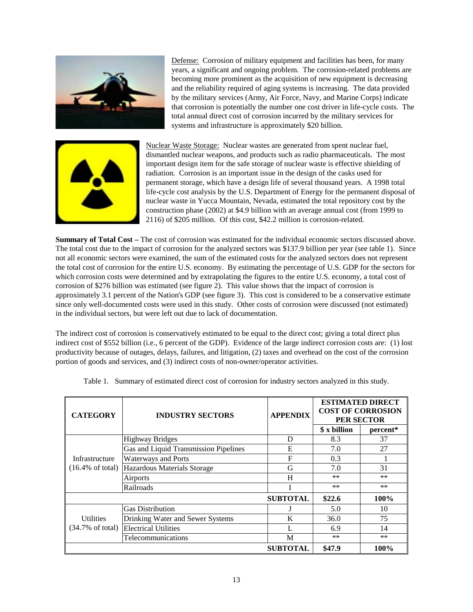

Defense: Corrosion of military equipment and facilities has been, for many years, a significant and ongoing problem. The corrosion-related problems are becoming more prominent as the acquisition of new equipment is decreasing and the reliability required of aging systems is increasing. The data provided by the military services (Army, Air Force, Navy, and Marine Corps) indicate that corrosion is potentially the number one cost driver in life-cycle costs. The total annual direct cost of corrosion incurred by the military services for systems and infrastructure is approximately \$20 billion.



Nuclear Waste Storage: Nuclear wastes are generated from spent nuclear fuel, dismantled nuclear weapons, and products such as radio pharmaceuticals. The most important design item for the safe storage of nuclear waste is effective shielding of radiation. Corrosion is an important issue in the design of the casks used for permanent storage, which have a design life of several thousand years. A 1998 total life-cycle cost analysis by the U.S. Department of Energy for the permanent disposal of nuclear waste in Yucca Mountain, Nevada, estimated the total repository cost by the construction phase (2002) at \$4.9 billion with an average annual cost (from 1999 to 2116) of \$205 million. Of this cost, \$42.2 million is corrosion-related.

**Summary of Total Cost –** The cost of corrosion was estimated for the individual economic sectors discussed above. The total cost due to the impact of corrosion for the analyzed sectors was \$137.9 billion per year (see table 1). Since not all economic sectors were examined, the sum of the estimated costs for the analyzed sectors does not represent the total cost of corrosion for the entire U.S. economy. By estimating the percentage of U.S. GDP for the sectors for which corrosion costs were determined and by extrapolating the figures to the entire U.S. economy, a total cost of corrosion of \$276 billion was estimated (see figure 2). This value shows that the impact of corrosion is approximately 3.1 percent of the Nation's GDP (see figure 3). This cost is considered to be a conservative estimate since only well-documented costs were used in this study. Other costs of corrosion were discussed (not estimated) in the individual sectors, but were left out due to lack of documentation.

The indirect cost of corrosion is conservatively estimated to be equal to the direct cost; giving a total direct plus indirect cost of \$552 billion (i.e., 6 percent of the GDP). Evidence of the large indirect corrosion costs are: (1) lost productivity because of outages, delays, failures, and litigation, (2) taxes and overhead on the cost of the corrosion portion of goods and services, and (3) indirect costs of non-owner/operator activities.

| <b>CATEGORY</b>                                 | <b>INDUSTRY SECTORS</b>               | <b>APPENDIX</b> | <b>ESTIMATED DIRECT</b><br><b>COST OF CORROSION</b><br><b>PER SECTOR</b> |          |
|-------------------------------------------------|---------------------------------------|-----------------|--------------------------------------------------------------------------|----------|
|                                                 |                                       |                 | \$ x billion                                                             | percent* |
| Infrastructure<br>$(16.4\% \text{ of total})$   | <b>Highway Bridges</b>                | D               | 8.3                                                                      | 37       |
|                                                 | Gas and Liquid Transmission Pipelines | E               | 7.0                                                                      | 27       |
|                                                 | Waterways and Ports                   | F               | 0.3                                                                      |          |
|                                                 | Hazardous Materials Storage           | G               | 7.0                                                                      | 31       |
|                                                 | Airports                              | H               | $**$                                                                     | $**$     |
|                                                 | Railroads                             |                 | $**$                                                                     | $***$    |
|                                                 |                                       | <b>SUBTOTAL</b> | \$22.6                                                                   | 100%     |
| <b>Utilities</b><br>$(34.7\% \text{ of total})$ | <b>Gas Distribution</b>               |                 | 5.0                                                                      | 10       |
|                                                 | Drinking Water and Sewer Systems      | K               | 36.0                                                                     | 75       |
|                                                 | <b>Electrical Utilities</b>           |                 | 6.9                                                                      | 14       |
|                                                 | Telecommunications                    | M               | $**$                                                                     | **       |
|                                                 | \$47.9                                | 100%            |                                                                          |          |

Table 1. Summary of estimated direct cost of corrosion for industry sectors analyzed in this study.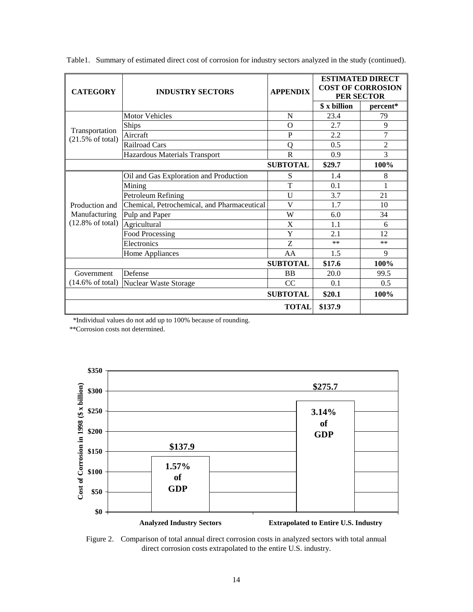| <b>CATEGORY</b><br><b>INDUSTRY SECTORS</b>                     |                                             | <b>APPENDIX</b>         | <b>ESTIMATED DIRECT</b><br><b>COST OF CORROSION</b><br><b>PER SECTOR</b> |                |
|----------------------------------------------------------------|---------------------------------------------|-------------------------|--------------------------------------------------------------------------|----------------|
|                                                                |                                             |                         | \$ x billion                                                             | percent*       |
| Transportation<br>$(21.5\% \text{ of total})$                  | <b>Motor Vehicles</b>                       | N                       | 23.4                                                                     | 79             |
|                                                                | Ships                                       | $\Omega$                | 2.7                                                                      | 9              |
|                                                                | Aircraft                                    | $\mathbf{P}$            | 2.2                                                                      | 7              |
|                                                                | Railroad Cars                               | Q                       | 0.5                                                                      | $\overline{2}$ |
|                                                                | Hazardous Materials Transport               | $\mathsf{R}$            | 0.9                                                                      | 3              |
| <b>SUBTOTAL</b>                                                |                                             | \$29.7                  | 100%                                                                     |                |
| Production and<br>Manufacturing<br>$(12.8\% \text{ of total})$ | Oil and Gas Exploration and Production      | S                       | 1.4                                                                      | 8              |
|                                                                | Mining                                      | T                       | 0.1                                                                      |                |
|                                                                | Petroleum Refining                          | $\mathbf{U}$            | 3.7                                                                      | 21             |
|                                                                | Chemical, Petrochemical, and Pharmaceutical | $\overline{\mathsf{V}}$ | 1.7                                                                      | 10             |
|                                                                | Pulp and Paper                              | W                       | 6.0                                                                      | 34             |
|                                                                | Agricultural                                | X                       | 1.1                                                                      | 6              |
|                                                                | <b>Food Processing</b>                      | Y                       | 2.1                                                                      | 12             |
|                                                                | Electronics                                 | Z                       | $**$                                                                     | $**$           |
|                                                                | Home Appliances                             | AA                      | 1.5                                                                      | 9              |
|                                                                |                                             | <b>SUBTOTAL</b>         | \$17.6                                                                   | 100%           |
| Government                                                     | Defense                                     | <b>BB</b>               | 20.0                                                                     | 99.5           |
| $(14.6\% \text{ of total})$                                    | Nuclear Waste Storage                       | CC                      | 0.1                                                                      | 0.5            |
| <b>SUBTOTAL</b>                                                |                                             |                         | \$20.1                                                                   | 100%           |
|                                                                |                                             | <b>TOTAL</b>            | \$137.9                                                                  |                |

Table1. Summary of estimated direct cost of corrosion for industry sectors analyzed in the study (continued).

\*Individual values do not add up to 100% because of rounding.

\*\*Corrosion costs not determined.



Figure 2. Comparison of total annual direct corrosion costs in analyzed sectors with total annual direct corrosion costs extrapolated to the entire U.S. industry.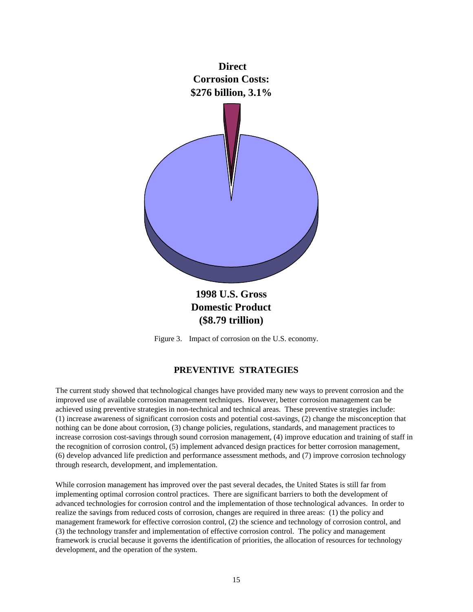

**(\$8.79 trillion)**

Figure 3. Impact of corrosion on the U.S. economy.

# **PREVENTIVE STRATEGIES**

The current study showed that technological changes have provided many new ways to prevent corrosion and the improved use of available corrosion management techniques. However, better corrosion management can be achieved using preventive strategies in non-technical and technical areas. These preventive strategies include: (1) increase awareness of significant corrosion costs and potential cost-savings, (2) change the misconception that nothing can be done about corrosion, (3) change policies, regulations, standards, and management practices to increase corrosion cost-savings through sound corrosion management, (4) improve education and training of staff in the recognition of corrosion control, (5) implement advanced design practices for better corrosion management, (6) develop advanced life prediction and performance assessment methods, and (7) improve corrosion technology through research, development, and implementation.

While corrosion management has improved over the past several decades, the United States is still far from implementing optimal corrosion control practices. There are significant barriers to both the development of advanced technologies for corrosion control and the implementation of those technological advances. In order to realize the savings from reduced costs of corrosion, changes are required in three areas: (1) the policy and management framework for effective corrosion control, (2) the science and technology of corrosion control, and (3) the technology transfer and implementation of effective corrosion control. The policy and management framework is crucial because it governs the identification of priorities, the allocation of resources for technology development, and the operation of the system.